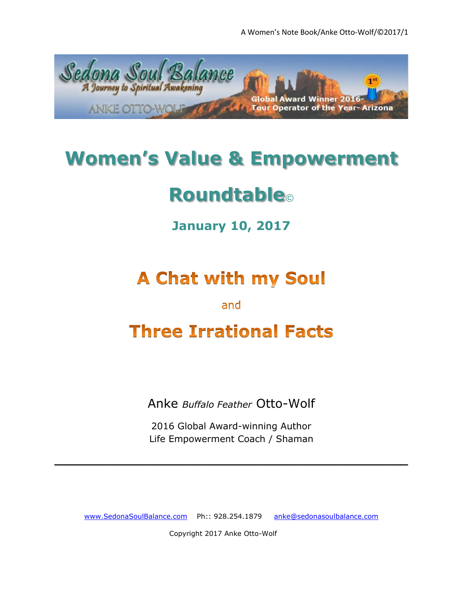

## **Women's Value & Empowerment**

# **Roundtable**©

### **January 10, 2017**

## **A Chat with my Soul**

#### and

### **Three Irrational Facts**

Anke *Buffalo Feather* Otto-Wolf

2016 Global Award-winning Author Life Empowerment Coach / Shaman

**\_\_\_\_\_\_\_\_\_\_\_\_\_\_\_\_\_\_\_\_\_\_\_\_\_\_\_\_\_\_\_\_\_\_\_\_\_\_\_\_\_\_\_\_\_\_\_**

[www.SedonaSoulBalance.com](http://www.sedonasoulbalance.com/) Ph:: 928.254.1879 [anke@sedonasoulbalance.com](mailto:anke@sedonasoulbalance.com)

Copyright 2017 Anke Otto-Wolf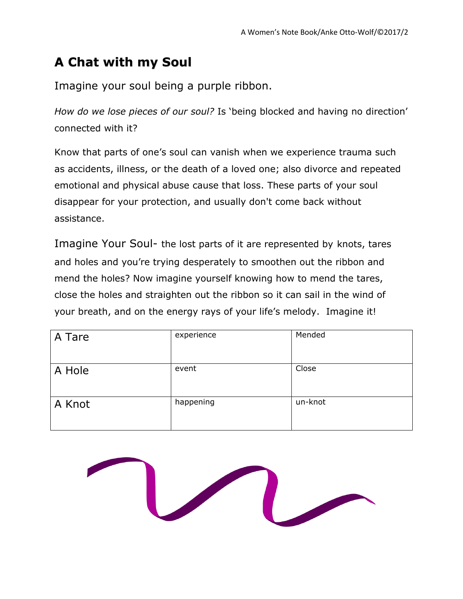### **A Chat with my Soul**

Imagine your soul being a purple ribbon.

*How do we lose pieces of our soul?* Is 'being blocked and having no direction' connected with it?

Know that parts of one's soul can vanish when we experience trauma such as accidents, illness, or the death of a loved one; also divorce and repeated emotional and physical abuse cause that loss. These parts of your soul disappear for your protection, and usually don't come back without assistance.

Imagine Your Soul- the lost parts of it are represented by knots, tares and holes and you're trying desperately to smoothen out the ribbon and mend the holes? Now imagine yourself knowing how to mend the tares, close the holes and straighten out the ribbon so it can sail in the wind of your breath, and on the energy rays of your life's melody. Imagine it!

| A Tare | experience | Mended  |
|--------|------------|---------|
| A Hole | event      | Close   |
| A Knot | happening  | un-knot |

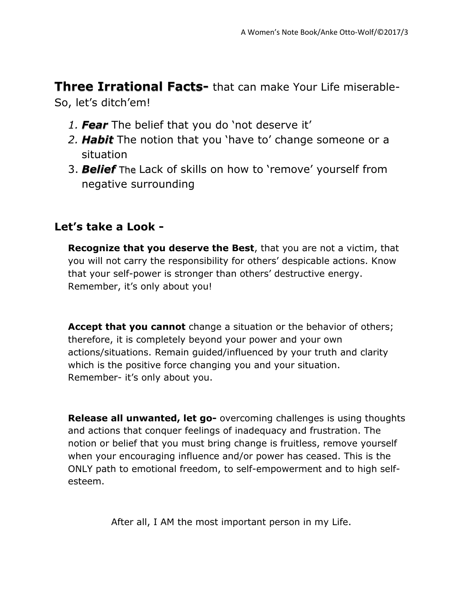**Three Irrational Facts-** that can make Your Life miserable-So, let's ditch'em!

- *1. Fear* The belief that you do 'not deserve it'
- *2. Habit* The notion that you 'have to' change someone or a situation
- 3. *Belief* The Lack of skills on how to 'remove' yourself from negative surrounding

#### **Let's take a Look -**

**Recognize that you deserve the Best**, that you are not a victim, that you will not carry the responsibility for others' despicable actions. Know that your self-power is stronger than others' destructive energy. Remember, it's only about you!

**Accept that you cannot** change a situation or the behavior of others; therefore, it is completely beyond your power and your own actions/situations. Remain guided/influenced by your truth and clarity which is the positive force changing you and your situation. Remember- it's only about you.

**Release all unwanted, let go-** overcoming challenges is using thoughts and actions that conquer feelings of inadequacy and frustration. The notion or belief that you must bring change is fruitless, remove yourself when your encouraging influence and/or power has ceased. This is the ONLY path to emotional freedom, to self-empowerment and to high selfesteem.

After all, I AM the most important person in my Life.